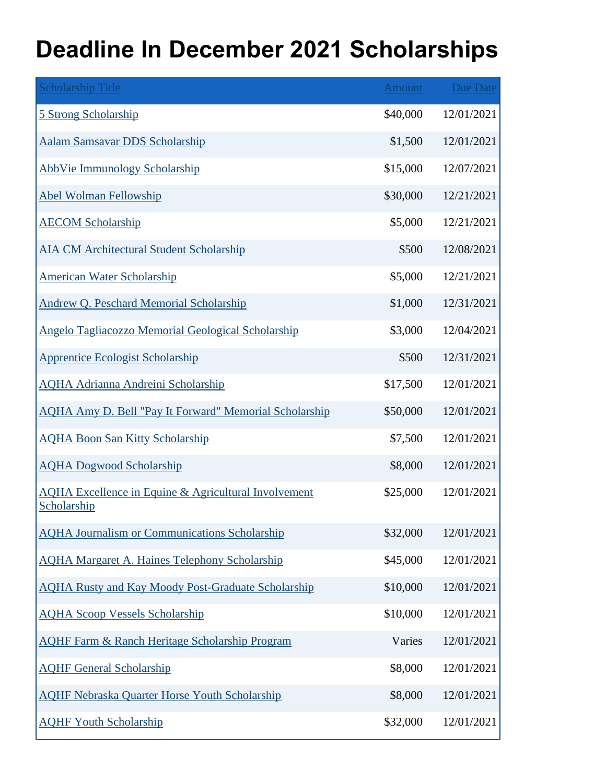## **Deadline In December 2021 Scholarships**

| <b>Scholarship Title</b>                                                       | Amount   | <b>Due Date</b> |
|--------------------------------------------------------------------------------|----------|-----------------|
| 5 Strong Scholarship                                                           | \$40,000 | 12/01/2021      |
| Aalam Samsavar DDS Scholarship                                                 | \$1,500  | 12/01/2021      |
| <b>AbbVie Immunology Scholarship</b>                                           | \$15,000 | 12/07/2021      |
| <b>Abel Wolman Fellowship</b>                                                  | \$30,000 | 12/21/2021      |
| <b>AECOM Scholarship</b>                                                       | \$5,000  | 12/21/2021      |
| <b>AIA CM Architectural Student Scholarship</b>                                | \$500    | 12/08/2021      |
| <b>American Water Scholarship</b>                                              | \$5,000  | 12/21/2021      |
| <b>Andrew Q. Peschard Memorial Scholarship</b>                                 | \$1,000  | 12/31/2021      |
| <b>Angelo Tagliacozzo Memorial Geological Scholarship</b>                      | \$3,000  | 12/04/2021      |
| <b>Apprentice Ecologist Scholarship</b>                                        | \$500    | 12/31/2021      |
| <b>AQHA Adrianna Andreini Scholarship</b>                                      | \$17,500 | 12/01/2021      |
| <b>AQHA Amy D. Bell "Pay It Forward" Memorial Scholarship</b>                  | \$50,000 | 12/01/2021      |
| <b>AQHA Boon San Kitty Scholarship</b>                                         | \$7,500  | 12/01/2021      |
| <b>AQHA Dogwood Scholarship</b>                                                | \$8,000  | 12/01/2021      |
| <b>AQHA Excellence in Equine &amp; Agricultural Involvement</b><br>Scholarship | \$25,000 | 12/01/2021      |
| <b>AQHA Journalism or Communications Scholarship</b>                           | \$32,000 | 12/01/2021      |
| <b>AQHA Margaret A. Haines Telephony Scholarship</b>                           | \$45,000 | 12/01/2021      |
| <b>AQHA Rusty and Kay Moody Post-Graduate Scholarship</b>                      | \$10,000 | 12/01/2021      |
| <b>AQHA Scoop Vessels Scholarship</b>                                          | \$10,000 | 12/01/2021      |
| <b>AQHF Farm &amp; Ranch Heritage Scholarship Program</b>                      | Varies   | 12/01/2021      |
| <b>AQHF General Scholarship</b>                                                | \$8,000  | 12/01/2021      |
| <b>AQHF Nebraska Quarter Horse Youth Scholarship</b>                           | \$8,000  | 12/01/2021      |
| <b>AQHF Youth Scholarship</b>                                                  | \$32,000 | 12/01/2021      |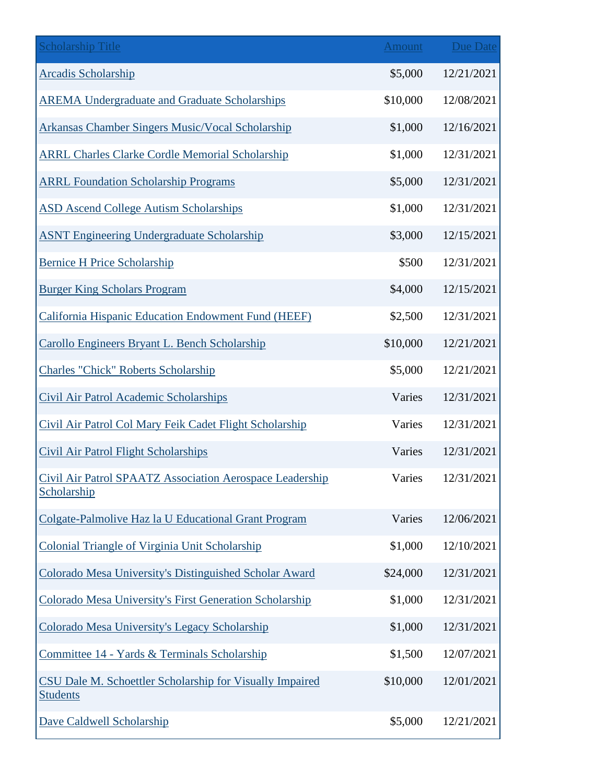| <b>Scholarship Title</b>                                                    | Amount   | <b>Due Date</b> |
|-----------------------------------------------------------------------------|----------|-----------------|
| <b>Arcadis Scholarship</b>                                                  | \$5,000  | 12/21/2021      |
| <b>AREMA Undergraduate and Graduate Scholarships</b>                        | \$10,000 | 12/08/2021      |
| <b>Arkansas Chamber Singers Music/Vocal Scholarship</b>                     | \$1,000  | 12/16/2021      |
| <b>ARRL Charles Clarke Cordle Memorial Scholarship</b>                      | \$1,000  | 12/31/2021      |
| <b>ARRL Foundation Scholarship Programs</b>                                 | \$5,000  | 12/31/2021      |
| <b>ASD Ascend College Autism Scholarships</b>                               | \$1,000  | 12/31/2021      |
| <b>ASNT Engineering Undergraduate Scholarship</b>                           | \$3,000  | 12/15/2021      |
| <b>Bernice H Price Scholarship</b>                                          | \$500    | 12/31/2021      |
| <b>Burger King Scholars Program</b>                                         | \$4,000  | 12/15/2021      |
| California Hispanic Education Endowment Fund (HEEF)                         | \$2,500  | 12/31/2021      |
| Carollo Engineers Bryant L. Bench Scholarship                               | \$10,000 | 12/21/2021      |
| <b>Charles "Chick" Roberts Scholarship</b>                                  | \$5,000  | 12/21/2021      |
| Civil Air Patrol Academic Scholarships                                      | Varies   | 12/31/2021      |
| Civil Air Patrol Col Mary Feik Cadet Flight Scholarship                     | Varies   | 12/31/2021      |
| <b>Civil Air Patrol Flight Scholarships</b>                                 | Varies   | 12/31/2021      |
| Civil Air Patrol SPAATZ Association Aerospace Leadership<br>Scholarship     | Varies   | 12/31/2021      |
| Colgate-Palmolive Haz la U Educational Grant Program                        | Varies   | 12/06/2021      |
| Colonial Triangle of Virginia Unit Scholarship                              | \$1,000  | 12/10/2021      |
| Colorado Mesa University's Distinguished Scholar Award                      | \$24,000 | 12/31/2021      |
| Colorado Mesa University's First Generation Scholarship                     | \$1,000  | 12/31/2021      |
| Colorado Mesa University's Legacy Scholarship                               | \$1,000  | 12/31/2021      |
| Committee 14 - Yards & Terminals Scholarship                                | \$1,500  | 12/07/2021      |
| CSU Dale M. Schoettler Scholarship for Visually Impaired<br><b>Students</b> | \$10,000 | 12/01/2021      |
| Dave Caldwell Scholarship                                                   | \$5,000  | 12/21/2021      |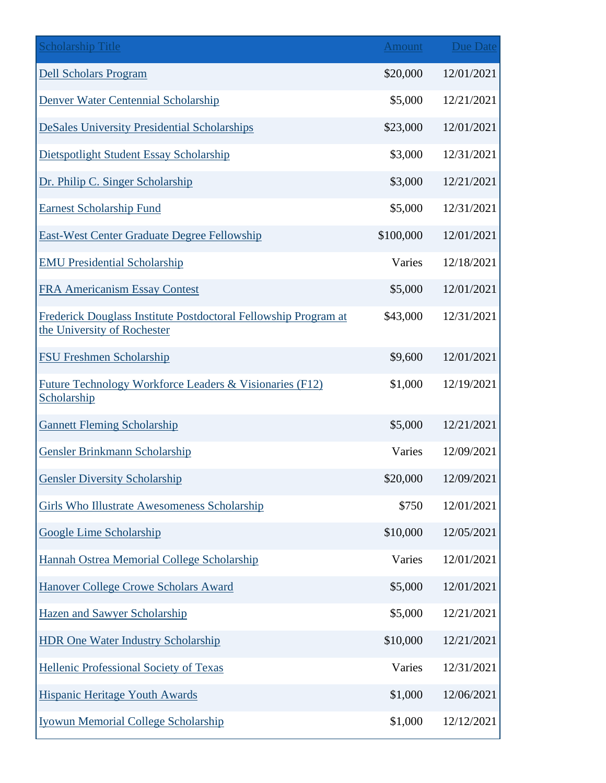| <b>Scholarship Title</b>                                                                       | <b>Amount</b> | <b>Due Date</b> |
|------------------------------------------------------------------------------------------------|---------------|-----------------|
| <b>Dell Scholars Program</b>                                                                   | \$20,000      | 12/01/2021      |
| Denver Water Centennial Scholarship                                                            | \$5,000       | 12/21/2021      |
| <b>DeSales University Presidential Scholarships</b>                                            | \$23,000      | 12/01/2021      |
| Dietspotlight Student Essay Scholarship                                                        | \$3,000       | 12/31/2021      |
| Dr. Philip C. Singer Scholarship                                                               | \$3,000       | 12/21/2021      |
| <b>Earnest Scholarship Fund</b>                                                                | \$5,000       | 12/31/2021      |
| <b>East-West Center Graduate Degree Fellowship</b>                                             | \$100,000     | 12/01/2021      |
| <b>EMU Presidential Scholarship</b>                                                            | Varies        | 12/18/2021      |
| <b>FRA Americanism Essay Contest</b>                                                           | \$5,000       | 12/01/2021      |
| Frederick Douglass Institute Postdoctoral Fellowship Program at<br>the University of Rochester | \$43,000      | 12/31/2021      |
| <b>FSU Freshmen Scholarship</b>                                                                | \$9,600       | 12/01/2021      |
| Future Technology Workforce Leaders & Visionaries (F12)<br>Scholarship                         | \$1,000       | 12/19/2021      |
| <b>Gannett Fleming Scholarship</b>                                                             | \$5,000       | 12/21/2021      |
| <b>Gensler Brinkmann Scholarship</b>                                                           | Varies        | 12/09/2021      |
| <b>Gensler Diversity Scholarship</b>                                                           | \$20,000      | 12/09/2021      |
| Girls Who Illustrate Awesomeness Scholarship                                                   | \$750         | 12/01/2021      |
| <b>Google Lime Scholarship</b>                                                                 | \$10,000      | 12/05/2021      |
| Hannah Ostrea Memorial College Scholarship                                                     | Varies        | 12/01/2021      |
| Hanover College Crowe Scholars Award                                                           | \$5,000       | 12/01/2021      |
| <b>Hazen and Sawyer Scholarship</b>                                                            | \$5,000       | 12/21/2021      |
| <b>HDR One Water Industry Scholarship</b>                                                      | \$10,000      | 12/21/2021      |
| <b>Hellenic Professional Society of Texas</b>                                                  | Varies        | 12/31/2021      |
| <b>Hispanic Heritage Youth Awards</b>                                                          | \$1,000       | 12/06/2021      |
| <b>Iyowun Memorial College Scholarship</b>                                                     | \$1,000       | 12/12/2021      |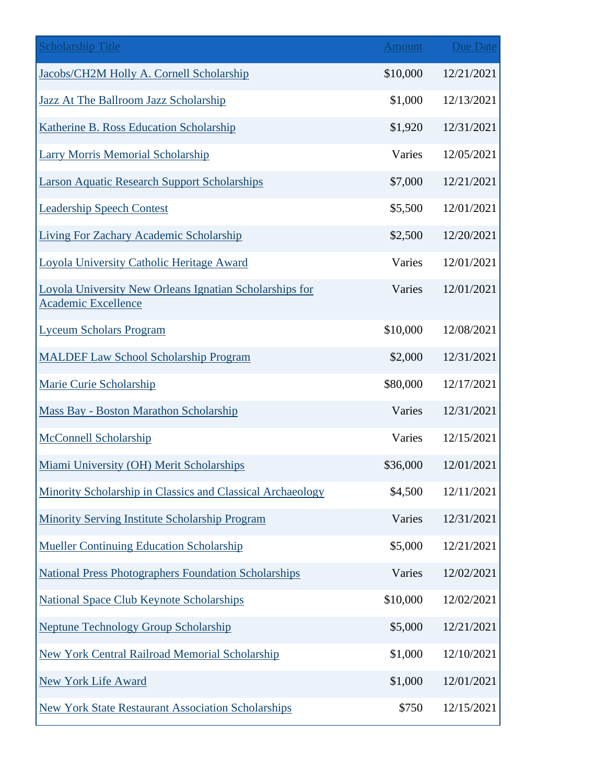| <b>Scholarship Title</b>                                                              | <b>Amount</b> | Due Date   |
|---------------------------------------------------------------------------------------|---------------|------------|
| Jacobs/CH2M Holly A. Cornell Scholarship                                              | \$10,000      | 12/21/2021 |
| Jazz At The Ballroom Jazz Scholarship                                                 | \$1,000       | 12/13/2021 |
| Katherine B. Ross Education Scholarship                                               | \$1,920       | 12/31/2021 |
| <b>Larry Morris Memorial Scholarship</b>                                              | Varies        | 12/05/2021 |
| <b>Larson Aquatic Research Support Scholarships</b>                                   | \$7,000       | 12/21/2021 |
| <b>Leadership Speech Contest</b>                                                      | \$5,500       | 12/01/2021 |
| <b>Living For Zachary Academic Scholarship</b>                                        | \$2,500       | 12/20/2021 |
| Loyola University Catholic Heritage Award                                             | Varies        | 12/01/2021 |
| Loyola University New Orleans Ignatian Scholarships for<br><b>Academic Excellence</b> | Varies        | 12/01/2021 |
| <b>Lyceum Scholars Program</b>                                                        | \$10,000      | 12/08/2021 |
| <b>MALDEF Law School Scholarship Program</b>                                          | \$2,000       | 12/31/2021 |
| Marie Curie Scholarship                                                               | \$80,000      | 12/17/2021 |
| <b>Mass Bay - Boston Marathon Scholarship</b>                                         | Varies        | 12/31/2021 |
| <b>McConnell Scholarship</b>                                                          | Varies        | 12/15/2021 |
| Miami University (OH) Merit Scholarships                                              | \$36,000      | 12/01/2021 |
| Minority Scholarship in Classics and Classical Archaeology                            | \$4,500       | 12/11/2021 |
| Minority Serving Institute Scholarship Program                                        | Varies        | 12/31/2021 |
| <b>Mueller Continuing Education Scholarship</b>                                       | \$5,000       | 12/21/2021 |
| <b>National Press Photographers Foundation Scholarships</b>                           | Varies        | 12/02/2021 |
| National Space Club Keynote Scholarships                                              | \$10,000      | 12/02/2021 |
| <b>Neptune Technology Group Scholarship</b>                                           | \$5,000       | 12/21/2021 |
| New York Central Railroad Memorial Scholarship                                        | \$1,000       | 12/10/2021 |
| New York Life Award                                                                   | \$1,000       | 12/01/2021 |
| <b>New York State Restaurant Association Scholarships</b>                             | \$750         | 12/15/2021 |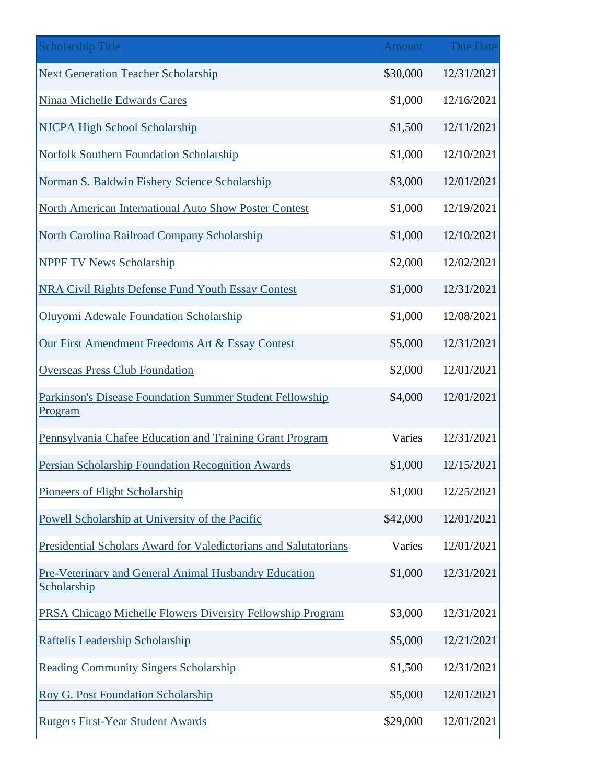| <b>Scholarship Title</b>                                                   | <b>Amount</b> | <b>Due Date</b> |
|----------------------------------------------------------------------------|---------------|-----------------|
| <b>Next Generation Teacher Scholarship</b>                                 | \$30,000      | 12/31/2021      |
| Ninaa Michelle Edwards Cares                                               | \$1,000       | 12/16/2021      |
| NJCPA High School Scholarship                                              | \$1,500       | 12/11/2021      |
| <b>Norfolk Southern Foundation Scholarship</b>                             | \$1,000       | 12/10/2021      |
| Norman S. Baldwin Fishery Science Scholarship                              | \$3,000       | 12/01/2021      |
| <b>North American International Auto Show Poster Contest</b>               | \$1,000       | 12/19/2021      |
| North Carolina Railroad Company Scholarship                                | \$1,000       | 12/10/2021      |
| <b>NPPF TV News Scholarship</b>                                            | \$2,000       | 12/02/2021      |
| <b>NRA Civil Rights Defense Fund Youth Essay Contest</b>                   | \$1,000       | 12/31/2021      |
| Oluyomi Adewale Foundation Scholarship                                     | \$1,000       | 12/08/2021      |
| Our First Amendment Freedoms Art & Essay Contest                           | \$5,000       | 12/31/2021      |
| <b>Overseas Press Club Foundation</b>                                      | \$2,000       | 12/01/2021      |
| Parkinson's Disease Foundation Summer Student Fellowship<br><u>Program</u> | \$4,000       | 12/01/2021      |
| Pennsylvania Chafee Education and Training Grant Program                   | Varies        | 12/31/2021      |
| Persian Scholarship Foundation Recognition Awards                          | \$1,000       | 12/15/2021      |
| Pioneers of Flight Scholarship                                             | \$1,000       | 12/25/2021      |
| Powell Scholarship at University of the Pacific                            | \$42,000      | 12/01/2021      |
| Presidential Scholars Award for Valedictorians and Salutatorians           | Varies        | 12/01/2021      |
| Pre-Veterinary and General Animal Husbandry Education<br>Scholarship       | \$1,000       | 12/31/2021      |
| PRSA Chicago Michelle Flowers Diversity Fellowship Program                 | \$3,000       | 12/31/2021      |
| Raftelis Leadership Scholarship                                            | \$5,000       | 12/21/2021      |
| <b>Reading Community Singers Scholarship</b>                               | \$1,500       | 12/31/2021      |
| Roy G. Post Foundation Scholarship                                         | \$5,000       | 12/01/2021      |
| <b>Rutgers First-Year Student Awards</b>                                   | \$29,000      | 12/01/2021      |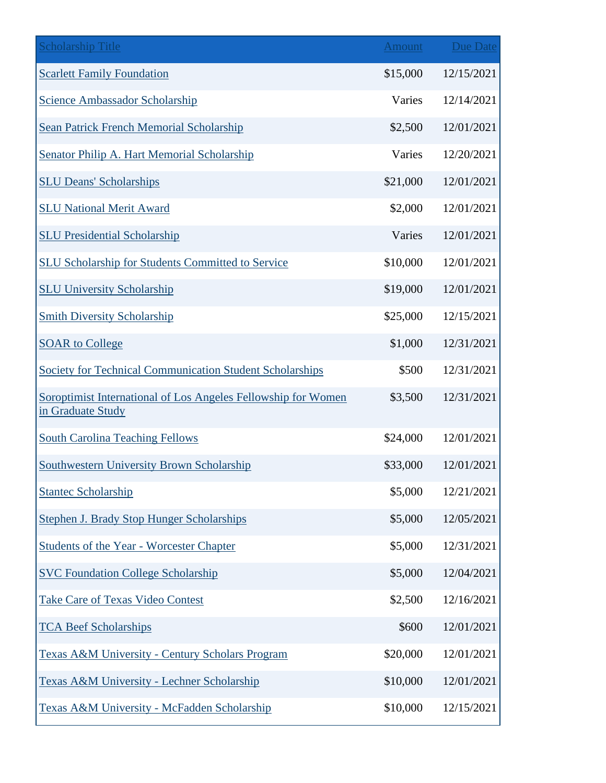| <b>Scholarship Title</b>                                                           | <b>Amount</b> | Due Date   |
|------------------------------------------------------------------------------------|---------------|------------|
| <b>Scarlett Family Foundation</b>                                                  | \$15,000      | 12/15/2021 |
| <b>Science Ambassador Scholarship</b>                                              | Varies        | 12/14/2021 |
| Sean Patrick French Memorial Scholarship                                           | \$2,500       | 12/01/2021 |
| Senator Philip A. Hart Memorial Scholarship                                        | Varies        | 12/20/2021 |
| <b>SLU Deans' Scholarships</b>                                                     | \$21,000      | 12/01/2021 |
| <b>SLU National Merit Award</b>                                                    | \$2,000       | 12/01/2021 |
| <b>SLU Presidential Scholarship</b>                                                | Varies        | 12/01/2021 |
| <b>SLU Scholarship for Students Committed to Service</b>                           | \$10,000      | 12/01/2021 |
| <b>SLU University Scholarship</b>                                                  | \$19,000      | 12/01/2021 |
| <b>Smith Diversity Scholarship</b>                                                 | \$25,000      | 12/15/2021 |
| <b>SOAR to College</b>                                                             | \$1,000       | 12/31/2021 |
| Society for Technical Communication Student Scholarships                           | \$500         | 12/31/2021 |
| Soroptimist International of Los Angeles Fellowship for Women<br>in Graduate Study | \$3,500       | 12/31/2021 |
| <b>South Carolina Teaching Fellows</b>                                             | \$24,000      | 12/01/2021 |
| <b>Southwestern University Brown Scholarship</b>                                   | \$33,000      | 12/01/2021 |
| <b>Stantec Scholarship</b>                                                         | \$5,000       | 12/21/2021 |
| <b>Stephen J. Brady Stop Hunger Scholarships</b>                                   | \$5,000       | 12/05/2021 |
| <b>Students of the Year - Worcester Chapter</b>                                    | \$5,000       | 12/31/2021 |
| <b>SVC Foundation College Scholarship</b>                                          | \$5,000       | 12/04/2021 |
| <b>Take Care of Texas Video Contest</b>                                            | \$2,500       | 12/16/2021 |
| <b>TCA Beef Scholarships</b>                                                       | \$600         | 12/01/2021 |
| Texas A&M University - Century Scholars Program                                    | \$20,000      | 12/01/2021 |
| Texas A&M University - Lechner Scholarship                                         | \$10,000      | 12/01/2021 |
| Texas A&M University - McFadden Scholarship                                        | \$10,000      | 12/15/2021 |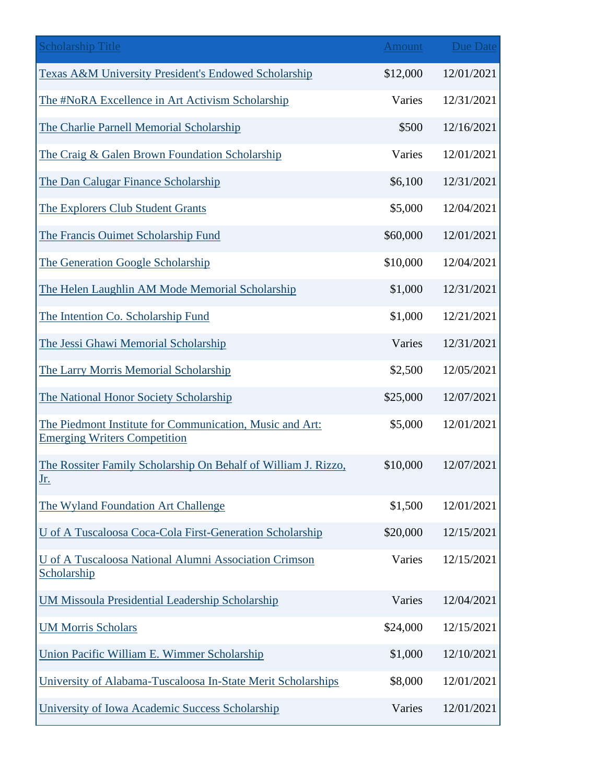| <b>Scholarship Title</b>                                                                        | <b>Amount</b> | <b>Due Date</b> |
|-------------------------------------------------------------------------------------------------|---------------|-----------------|
| <b>Texas A&amp;M University President's Endowed Scholarship</b>                                 | \$12,000      | 12/01/2021      |
| The #NoRA Excellence in Art Activism Scholarship                                                | Varies        | 12/31/2021      |
| The Charlie Parnell Memorial Scholarship                                                        | \$500         | 12/16/2021      |
| The Craig & Galen Brown Foundation Scholarship                                                  | Varies        | 12/01/2021      |
| The Dan Calugar Finance Scholarship                                                             | \$6,100       | 12/31/2021      |
| The Explorers Club Student Grants                                                               | \$5,000       | 12/04/2021      |
| The Francis Ouimet Scholarship Fund                                                             | \$60,000      | 12/01/2021      |
| The Generation Google Scholarship                                                               | \$10,000      | 12/04/2021      |
| The Helen Laughlin AM Mode Memorial Scholarship                                                 | \$1,000       | 12/31/2021      |
| The Intention Co. Scholarship Fund                                                              | \$1,000       | 12/21/2021      |
| The Jessi Ghawi Memorial Scholarship                                                            | Varies        | 12/31/2021      |
| The Larry Morris Memorial Scholarship                                                           | \$2,500       | 12/05/2021      |
| The National Honor Society Scholarship                                                          | \$25,000      | 12/07/2021      |
| The Piedmont Institute for Communication, Music and Art:<br><b>Emerging Writers Competition</b> | \$5,000       | 12/01/2021      |
| The Rossiter Family Scholarship On Behalf of William J. Rizzo,<br><u>Jr.</u>                    | \$10,000      | 12/07/2021      |
| The Wyland Foundation Art Challenge                                                             | \$1,500       | 12/01/2021      |
| U of A Tuscaloosa Coca-Cola First-Generation Scholarship                                        | \$20,000      | 12/15/2021      |
| U of A Tuscaloosa National Alumni Association Crimson<br>Scholarship                            | Varies        | 12/15/2021      |
| <b>UM Missoula Presidential Leadership Scholarship</b>                                          | Varies        | 12/04/2021      |
| <b>UM Morris Scholars</b>                                                                       | \$24,000      | 12/15/2021      |
| Union Pacific William E. Wimmer Scholarship                                                     | \$1,000       | 12/10/2021      |
| University of Alabama-Tuscaloosa In-State Merit Scholarships                                    | \$8,000       | 12/01/2021      |
| University of Iowa Academic Success Scholarship                                                 | Varies        | 12/01/2021      |